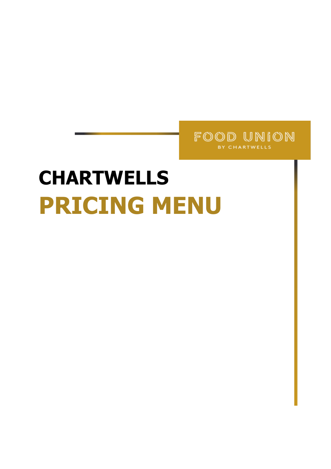

### **CHARTWELLS PRICING MENU**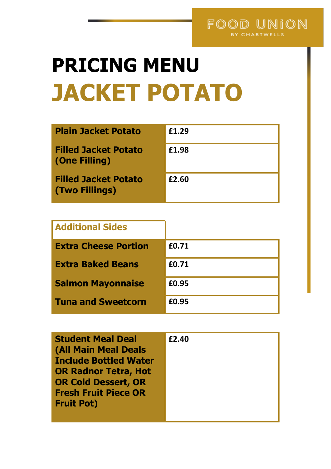### **PRICING MENU JACKET POTATO**

| <b>Plain Jacket Potato</b>                    | £1.29 |
|-----------------------------------------------|-------|
| <b>Filled Jacket Potato</b><br>(One Filling)  | £1.98 |
| <b>Filled Jacket Potato</b><br>(Two Fillings) | £2.60 |

| <b>Additional Sides</b>     |       |
|-----------------------------|-------|
| <b>Extra Cheese Portion</b> | £0.71 |
| <b>Extra Baked Beans</b>    | £0.71 |
| <b>Salmon Mayonnaise</b>    | £0.95 |
| <b>Tuna and Sweetcorn</b>   | £0.95 |

| <b>Student Meal Deal</b><br><b>(All Main Meal Deals</b><br><b>Include Bottled Water</b><br><b>OR Radnor Tetra, Hot</b><br><b>OR Cold Dessert, OR</b><br><b>Fresh Fruit Piece OR</b><br><b>Fruit Pot)</b> | £2.40 |
|----------------------------------------------------------------------------------------------------------------------------------------------------------------------------------------------------------|-------|
|                                                                                                                                                                                                          |       |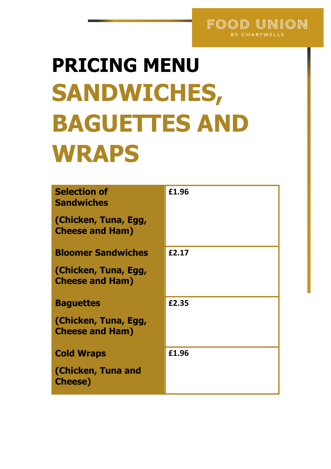#### FOOD UNION BY CHARTWELLS

# **PRICING MENU SANDWICHES, BAGUETTES AND WRAPS**

| <b>Selection of</b><br><b>Sandwiches</b>       | £1.96 |
|------------------------------------------------|-------|
| (Chicken, Tuna, Egg,<br><b>Cheese and Ham)</b> |       |
| <b>Bloomer Sandwiches</b>                      | £2.17 |
| (Chicken, Tuna, Egg,<br><b>Cheese and Ham)</b> |       |
| <b>Baguettes</b>                               | £2.35 |
| (Chicken, Tuna, Egg,<br><b>Cheese and Ham)</b> |       |
| <b>Cold Wraps</b>                              | £1.96 |
| (Chicken, Tuna and<br><b>Cheese</b> )          |       |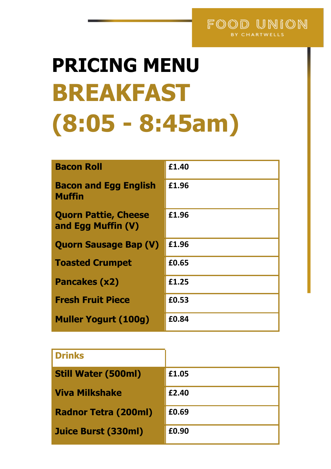#### FOOD UNION BY CHARTWELLS

# **PRICING MENU BREAKFAST (8:05 - 8:45am)**

| <b>Bacon Roll</b>                                 | £1.40 |
|---------------------------------------------------|-------|
| <b>Bacon and Egg English</b><br>Muffin            | £1.96 |
| <b>Quorn Pattie, Cheese</b><br>and Egg Muffin (V) | £1.96 |
| <b>Quorn Sausage Bap (V)</b>                      | £1.96 |
| <b>Toasted Crumpet</b>                            | £0.65 |
| <b>Pancakes (x2)</b>                              | £1.25 |
| <b>Fresh Fruit Piece</b>                          | £0.53 |
| <b>Muller Yogurt (100g)</b>                       | £0.84 |

| <b>Drinks</b>               |       |
|-----------------------------|-------|
| <b>Still Water (500ml)</b>  | £1.05 |
| <b>Viva Milkshake</b>       | £2.40 |
| <b>Radnor Tetra (200ml)</b> | £0.69 |
| <b>Juice Burst (330ml)</b>  | £0.90 |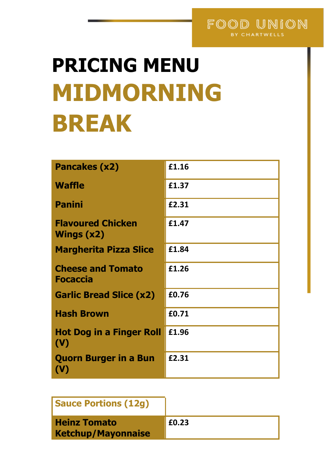## **PRICING MENU MIDMORNING BREAK**

| <b>Pancakes (x2)</b>                           | £1.16 |
|------------------------------------------------|-------|
| <b>Waffle</b>                                  | £1.37 |
| <b>Panini</b>                                  | £2.31 |
| <b>Flavoured Chicken</b><br>Wings $(x2)$       | £1.47 |
| <b>Margherita Pizza Slice</b>                  | £1.84 |
| <b>Cheese and Tomato</b><br><b>Focaccia</b>    | £1.26 |
| <b>Garlic Bread Slice (x2)</b>                 | £0.76 |
| <b>Hash Brown</b>                              | £0.71 |
| <b>Hot Dog in a Finger Roll</b><br>(V)         | £1.96 |
| <b>Quorn Burger in a Bun</b><br>$(\mathsf{V})$ | £2.31 |

| <b>Sauce Portions (12g)</b>                      |       |
|--------------------------------------------------|-------|
| <b>Heinz Tomato</b><br><b>Ketchup/Mayonnaise</b> | £0.23 |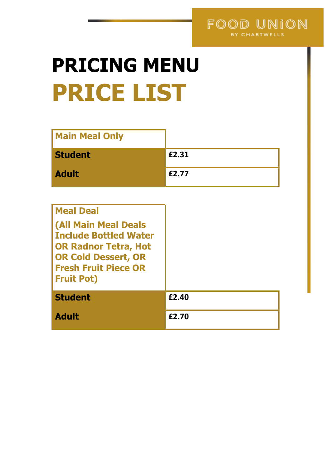

## **PRICING MENU PRICE LIST**

| <b>Main Meal Only</b> |       |
|-----------------------|-------|
| <b>Student</b>        | £2.31 |
| <b>Adult</b>          | £2.77 |

| <b>Meal Deal</b>                                                                                                                                                             |       |
|------------------------------------------------------------------------------------------------------------------------------------------------------------------------------|-------|
| <b>(All Main Meal Deals</b><br><b>Include Bottled Water</b><br><b>OR Radnor Tetra, Hot</b><br><b>OR Cold Dessert, OR</b><br><b>Fresh Fruit Piece OR</b><br><b>Fruit Pot)</b> |       |
| <b>Student</b>                                                                                                                                                               | £2.40 |
| <b>Adult</b>                                                                                                                                                                 | £2.70 |